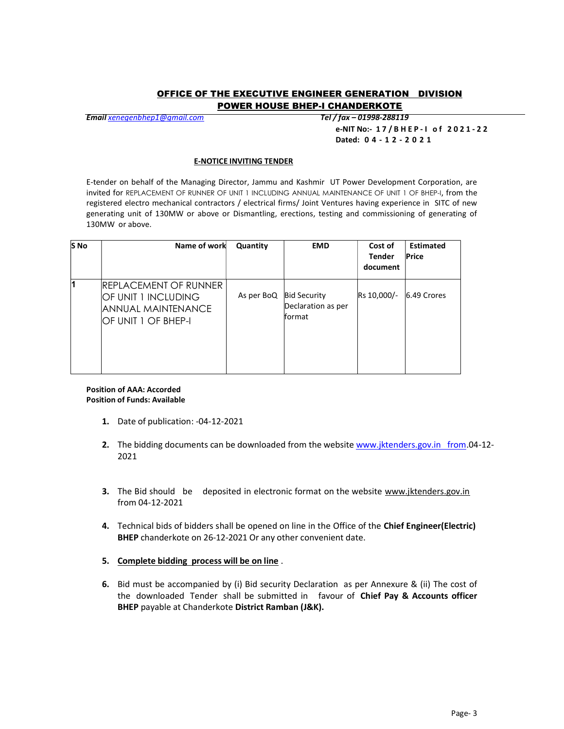## OFFICE OF THE EXECUTIVE ENGINEER GENERATION DIVISION POWER HOUSE BHEP-I CHANDERKOTE

Email xenegenbhep1@gmail.com Tel / fax – 01998-288119

e-NIT No:- 1 7 / B H E P - I o f 2 0 2 1 - 2 2 Dated: 0 4 - 1 2 - 2 0 2 1

## E-NOTICE INVITING TENDER

E-tender on behalf of the Managing Director, Jammu and Kashmir UT Power Development Corporation, are invited for REPLACEMENT OF RUNNER OF UNIT 1 INCLUDING ANNUAL MAINTENANCE OF UNIT 1 OF BHEP-I, from the registered electro mechanical contractors / electrical firms/ Joint Ventures having experience in SITC of new generating unit of 130MW or above or Dismantling, erections, testing and commissioning of generating of 130MW or above.

| <b>S</b> No | Name of work                                                                                        | Quantity   | <b>EMD</b>                                                  | Cost of<br><b>Tender</b><br>document | <b>Estimated</b><br>Price |
|-------------|-----------------------------------------------------------------------------------------------------|------------|-------------------------------------------------------------|--------------------------------------|---------------------------|
| И           | <b>IREPLACEMENT OF RUNNER</b><br>OF UNIT 1 INCLUDING<br>IANNUAL MAINTENANCE<br>IOF UNIT 1 OF BHEP-I | As per BoQ | <b>Bid Security</b><br>Declaration as per<br><b>Iformat</b> | Rs 10,000/-                          | 6.49 Crores               |

## Position of AAA: Accorded Position of Funds: Available

- 1. Date of publication: -04-12-2021
- 2. The bidding documents can be downloaded from the website www.jktenders.gov.in from.04-12-2021
- 3. The Bid should be deposited in electronic format on the website www.jktenders.gov.in from 04-12-2021
- 4. Technical bids of bidders shall be opened on line in the Office of the Chief Engineer(Electric) BHEP chanderkote on 26-12-2021 Or any other convenient date.
- 5. Complete bidding process will be on line .
- 6. Bid must be accompanied by (i) Bid security Declaration as per Annexure & (ii) The cost of the downloaded Tender shall be submitted in favour of Chief Pay & Accounts officer BHEP payable at Chanderkote District Ramban (J&K).